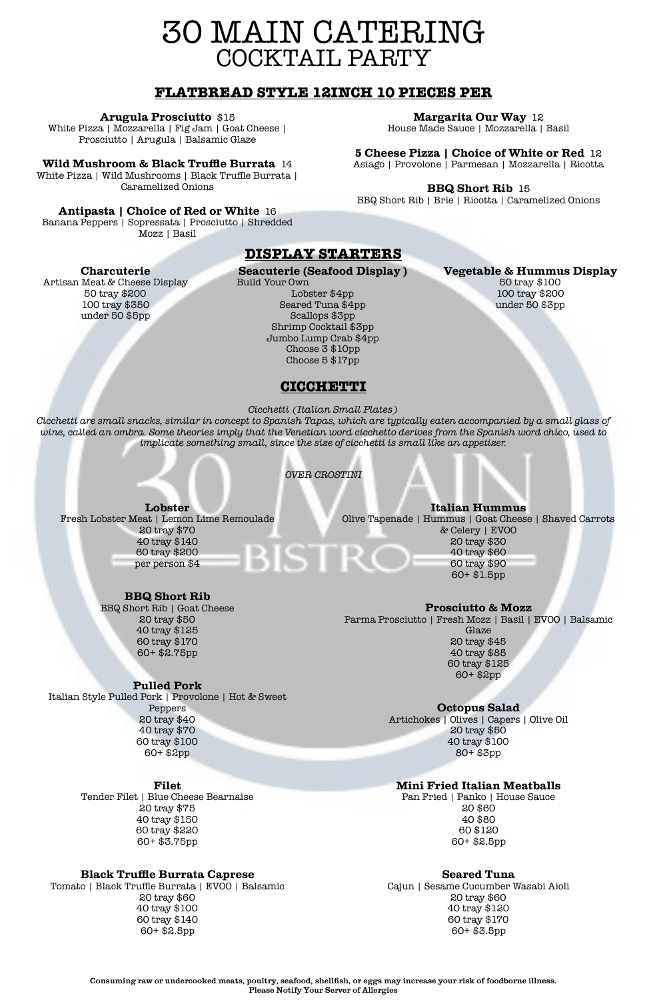# 30 MAIN CATERING COCKTAIL PARTY

Consuming raw or undercooked meats, poultry, seafood, shellfish, or eggs may increase your risk of foodborne illness. Please Notify Your Server of Allergies

# **CICCHETTI**

*Cicchetti (Italian Small Plates)*

*Cicchetti are small snacks, similar in concept to Spanish Tapas, which are typically eaten accompanied by a small glass of wine, called an ombra. Some theories imply that the Venetian word cicchetto derives from the Spanish word chico, used to implicate something small, since the size of cicchetti is small like an appetizer.*

*OVER CROSTINI*

**Lobster** Fresh Lobster Meat | Lemon Lime Remoulade 20 tray \$70 40 tray \$140 60 tray \$200 per person \$4

# **BBQ Short Rib**

BBQ Short Rib | Goat Cheese 20 tray \$50 40 tray \$125 60 tray \$170 60+ \$2.75pp

### **Pulled Pork**

Italian Style Pulled Pork | Provolone | Hot & Sweet Peppers 20 tray \$40 40 tray \$70

> 60 tray \$100 60+ \$2pp

#### **Filet**

Tender Filet | Blue Cheese Bearnaise 20 tray \$75 40 tray \$150 60 tray \$220 60+ \$3.75pp

#### **Black Truffle Burrata Caprese**

Tomato | Black Truffle Burrata | EVOO | Balsamic 20 tray \$60 40 tray \$100 60 tray \$140 60+ \$2.5pp

**Italian Hummus** Olive Tapenade | Hummus | Goat Cheese | Shaved Carrots & Celery | EVOO 20 tray \$30 **BISTRC** 40 tray \$60 60 tray \$90 60+ \$1.5pp

> **Prosciutto & Mozz** Parma Prosciutto | Fresh Mozz | Basil | EVOO | Balsamic Glaze 20 tray \$45 40 tray \$85 60 tray \$125 60+ \$2pp

# **Octopus Salad**

Artichokes | Olives | Capers | Olive Oil 20 tray \$50

#### 40 tray \$100 80+ \$3pp

#### **Mini Fried Italian Meatballs**

Pan Fried | Panko | House Sauce 20 \$60 40 \$80 60 \$120 60+ \$2.5pp

#### **Seared Tuna**

Cajun | Sesame Cucumber Wasabi Aioli 20 tray \$60 40 tray \$120 60 tray \$170 60+ \$3.5pp

# **DISPLAY STARTERS**

### **Charcuterie**

Artisan Meat & Cheese Display 50 tray \$200 100 tray \$350 under 50 \$5pp

**Seacuterie (Seafood Display )** Build Your Own Lobster \$4pp Seared Tuna \$4pp Scallops \$3pp Shrimp Cocktail \$3pp Jumbo Lump Crab \$4pp Choose 3 \$10pp

Choose 5 \$17pp

### **Vegetable & Hummus Display**

50 tray \$100 100 tray \$200 under 50 \$3pp

# **FLATBREAD STYLE 12INCH 10 PIECES PER**

### **Arugula Prosciutto** \$15

White Pizza | Mozzarella | Fig Jam | Goat Cheese | Prosciutto | Arugula | Balsamic Glaze

### **Wild Mushroom & Black Truffle Burrata** 14

White Pizza | Wild Mushrooms | Black Truffle Burrata | Caramelized Onions

### **Antipasta | Choice of Red or White** 16

Banana Peppers | Sopressata | Prosciutto | Shredded Mozz | Basil

### **Margarita Our Way** 12

House Made Sauce | Mozzarella | Basil

## **5 Cheese Pizza | Choice of White or Red** 12

Asiago | Provolone | Parmesan | Mozzarella | Ricotta

### **BBQ Short Rib** 15

BBQ Short Rib | Brie | Ricotta | Caramelized Onions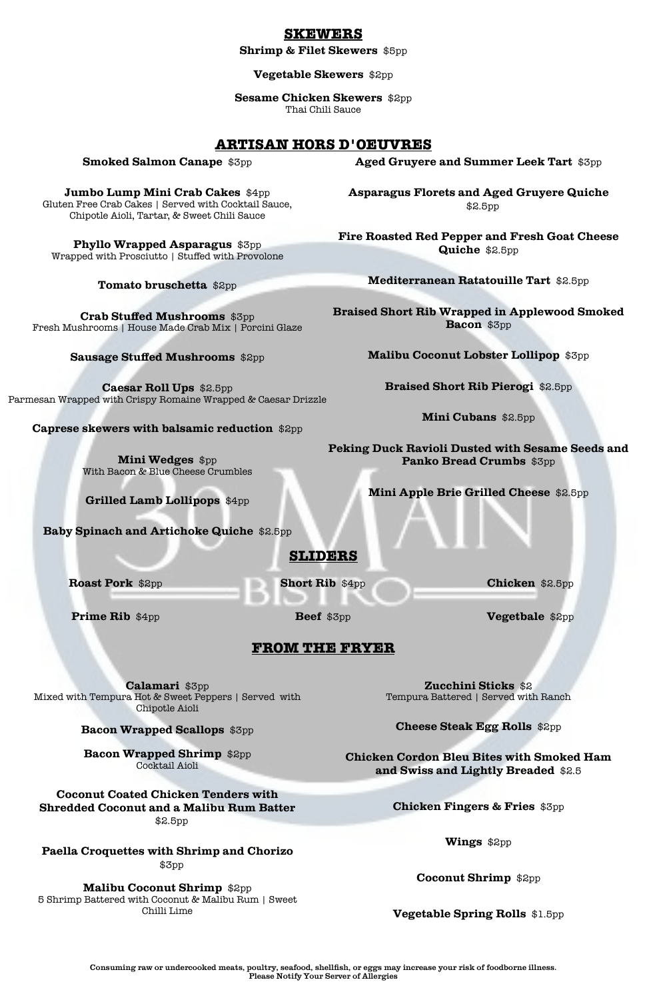# **FROM THE FRYER**

**Calamari** \$3pp Mixed with Tempura Hot & Sweet Peppers | Served with Chipotle Aioli

**Bacon Wrapped Scallops** \$3pp

# **Bacon Wrapped Shrimp** \$2pp Cocktail Aioli

# **Coconut Coated Chicken Tenders with Shredded Coconut and a Malibu Rum Batter** \$2.5pp

**Paella Croquettes with Shrimp and Chorizo** \$3pp

# **Malibu Coconut Shrimp** \$2pp

5 Shrimp Battered with Coconut & Malibu Rum | Sweet Chilli Lime

**Zucchini Sticks** \$2 Tempura Battered | Served with Ranch

**Cheese Steak Egg Rolls** \$2pp

**Chicken Cordon Bleu Bites with Smoked Ham and Swiss and Lightly Breaded** \$2.5

**Chicken Fingers & Fries** \$3pp

**Wings** \$2pp

**Coconut Shrimp** \$2pp

**Vegetable Spring Rolls** \$1.5pp

**SLIDERS**

**Roast Pork** \$2pp

**Prime Rib** \$4pp

**Short Rib** \$4pp

**Beef** \$3pp

**Chicken** \$2.5pp

**Vegetbale** \$2pp

# **ARTISAN HORS D'OEUVRES**

**Smoked Salmon Canape** \$3pp

**Jumbo Lump Mini Crab Cakes** \$4pp Gluten Free Crab Cakes | Served with Cocktail Sauce, Chipotle Aioli, Tartar, & Sweet Chili Sauce

**Phyllo Wrapped Asparagus** \$3pp Wrapped with Prosciutto | Stuffed with Provolone

**Tomato bruschetta** \$2pp

**Crab Stuffed Mushrooms** \$3pp Fresh Mushrooms | House Made Crab Mix | Porcini Glaze

**Sausage Stuffed Mushrooms** \$2pp

**Caesar Roll Ups** \$2.5pp Parmesan Wrapped with Crispy Romaine Wrapped & Caesar Drizzle

**Caprese skewers with balsamic reduction** \$2pp

**Mini Wedges** \$pp With Bacon & Blue Cheese Crumbles

**Grilled Lamb Lollipops** \$4pp

**Baby Spinach and Artichoke Quiche** \$2.5pp

**Aged Gruyere and Summer Leek Tart** \$3pp

**Asparagus Florets and Aged Gruyere Quiche** \$2.5pp

**Fire Roasted Red Pepper and Fresh Goat Cheese Quiche** \$2.5pp

**Mediterranean Ratatouille Tart** \$2.5pp

**Braised Short Rib Wrapped in Applewood Smoked Bacon** \$3pp

**Malibu Coconut Lobster Lollipop** \$3pp

**Braised Short Rib Pierogi** \$2.5pp

**Mini Cubans** \$2.5pp

**Peking Duck Ravioli Dusted with Sesame Seeds and Panko Bread Crumbs** \$3pp

**Mini Apple Brie Grilled Cheese** \$2.5pp

# **SKEWERS**

**Shrimp & Filet Skewers** \$5pp

**Vegetable Skewers** \$2pp

**Sesame Chicken Skewers** \$2pp Thai Chili Sauce

Consuming raw or undercooked meats, poultry, seafood, shellfish, or eggs may increase your risk of foodborne illness. Please Notify Your Server of Allergies